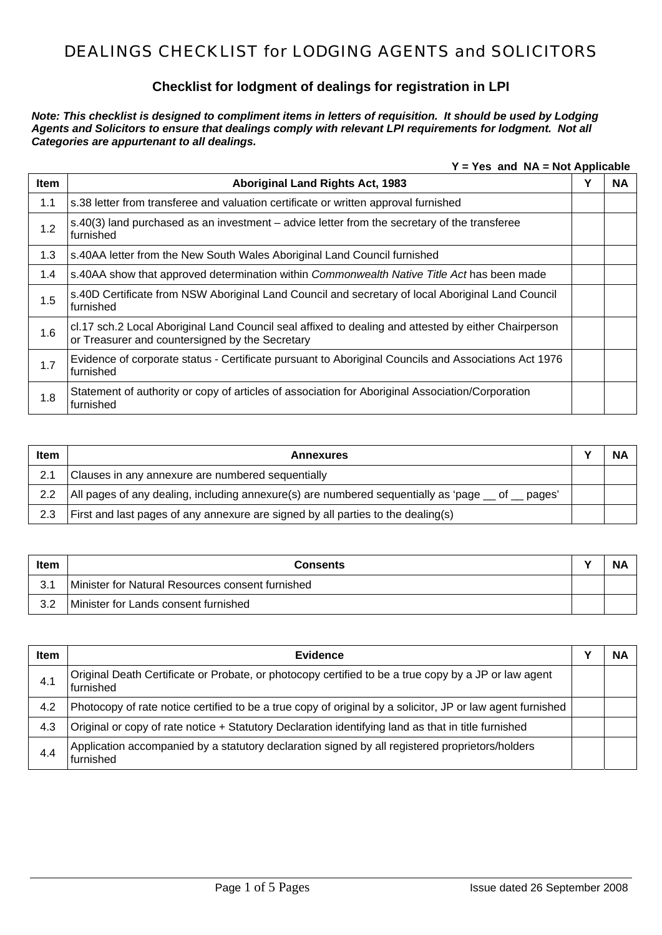#### **Checklist for lodgment of dealings for registration in LPI**

*Note: This checklist is designed to compliment items in letters of requisition. It should be used by Lodging Agents and Solicitors to ensure that dealings comply with relevant LPI requirements for lodgment. Not all Categories are appurtenant to all dealings.* 

**Y = Yes and NA = Not Applicable** 

| <b>Item</b> | <b>Aboriginal Land Rights Act, 1983</b>                                                                                                                 | Υ | <b>NA</b> |
|-------------|---------------------------------------------------------------------------------------------------------------------------------------------------------|---|-----------|
| 1.1         | s.38 letter from transferee and valuation certificate or written approval furnished                                                                     |   |           |
| 1.2         | s.40(3) land purchased as an investment – advice letter from the secretary of the transferee<br>furnished                                               |   |           |
| 1.3         | s.40AA letter from the New South Wales Aboriginal Land Council furnished                                                                                |   |           |
| 1.4         | s.40AA show that approved determination within Commonwealth Native Title Act has been made                                                              |   |           |
| 1.5         | s.40D Certificate from NSW Aboriginal Land Council and secretary of local Aboriginal Land Council<br>furnished                                          |   |           |
| 1.6         | cl.17 sch.2 Local Aboriginal Land Council seal affixed to dealing and attested by either Chairperson<br>or Treasurer and countersigned by the Secretary |   |           |
| 1.7         | Evidence of corporate status - Certificate pursuant to Aboriginal Councils and Associations Act 1976<br>furnished                                       |   |           |
| 1.8         | Statement of authority or copy of articles of association for Aboriginal Association/Corporation<br>furnished                                           |   |           |

| <b>Item</b>   | <b>Annexures</b>                                                                                         | <b>NA</b> |
|---------------|----------------------------------------------------------------------------------------------------------|-----------|
| 2.1           | Clauses in any annexure are numbered sequentially                                                        |           |
| $2.2^{\circ}$ | All pages of any dealing, including annexure(s) are numbered sequentially as 'page $\_\$ of $\_\$ pages' |           |
| 2.3           | First and last pages of any annexure are signed by all parties to the dealing(s)                         |           |

| <b>Item</b> | <b>Consents</b>                                    | NΑ |
|-------------|----------------------------------------------------|----|
| 3.1         | l Minister for Natural Resources consent furnished |    |
| 3.2         | Minister for Lands consent furnished               |    |

| ltem | <b>Evidence</b>                                                                                                   | ΝA |
|------|-------------------------------------------------------------------------------------------------------------------|----|
| 4.1  | Original Death Certificate or Probate, or photocopy certified to be a true copy by a JP or law agent<br>furnished |    |
| 4.2  | Photocopy of rate notice certified to be a true copy of original by a solicitor, JP or law agent furnished        |    |
| 4.3  | Original or copy of rate notice + Statutory Declaration identifying land as that in title furnished               |    |
| 4.4  | Application accompanied by a statutory declaration signed by all registered proprietors/holders<br>furnished      |    |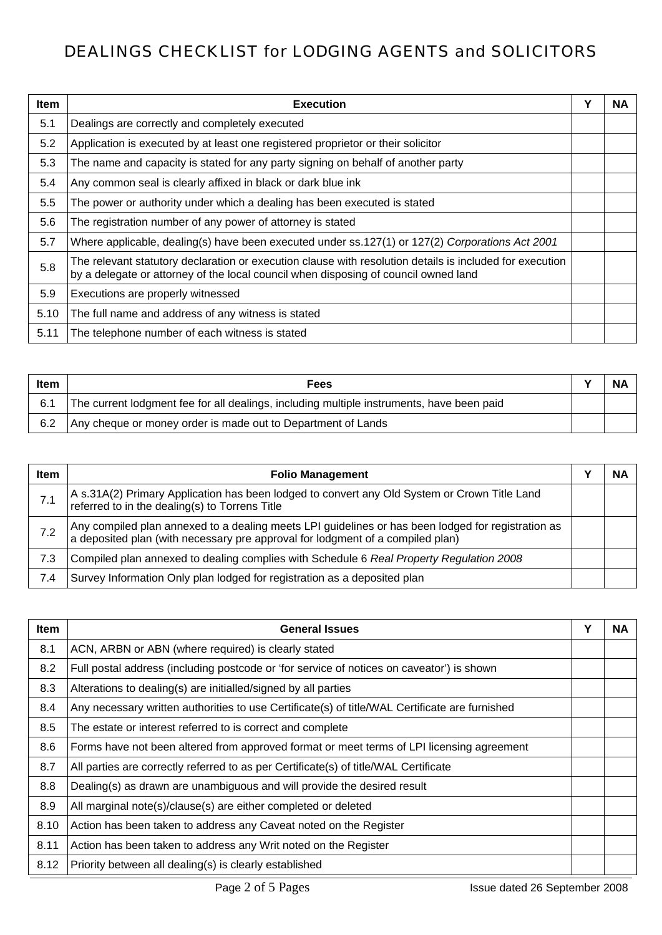| <b>Item</b> | <b>Execution</b>                                                                                                                                                                                | Υ | <b>NA</b> |
|-------------|-------------------------------------------------------------------------------------------------------------------------------------------------------------------------------------------------|---|-----------|
| 5.1         | Dealings are correctly and completely executed                                                                                                                                                  |   |           |
| 5.2         | Application is executed by at least one registered proprietor or their solicitor                                                                                                                |   |           |
| 5.3         | The name and capacity is stated for any party signing on behalf of another party                                                                                                                |   |           |
| 5.4         | Any common seal is clearly affixed in black or dark blue ink                                                                                                                                    |   |           |
| 5.5         | The power or authority under which a dealing has been executed is stated                                                                                                                        |   |           |
| 5.6         | The registration number of any power of attorney is stated                                                                                                                                      |   |           |
| 5.7         | Where applicable, dealing(s) have been executed under ss.127(1) or 127(2) Corporations Act 2001                                                                                                 |   |           |
| 5.8         | The relevant statutory declaration or execution clause with resolution details is included for execution<br>by a delegate or attorney of the local council when disposing of council owned land |   |           |
| 5.9         | Executions are properly witnessed                                                                                                                                                               |   |           |
| 5.10        | The full name and address of any witness is stated                                                                                                                                              |   |           |
| 5.11        | The telephone number of each witness is stated                                                                                                                                                  |   |           |

| <b>Item</b> | Fees                                                                                      | <b>NA</b> |
|-------------|-------------------------------------------------------------------------------------------|-----------|
| 6.1         | The current lodgment fee for all dealings, including multiple instruments, have been paid |           |
| 6.2         | Any cheque or money order is made out to Department of Lands                              |           |

| <b>Item</b> | <b>Folio Management</b>                                                                                                                                                              | NΑ |
|-------------|--------------------------------------------------------------------------------------------------------------------------------------------------------------------------------------|----|
| 7.1         | A s.31A(2) Primary Application has been lodged to convert any Old System or Crown Title Land<br>referred to in the dealing(s) to Torrens Title                                       |    |
| 7.2         | Any compiled plan annexed to a dealing meets LPI guidelines or has been lodged for registration as<br>a deposited plan (with necessary pre approval for lodgment of a compiled plan) |    |
| 7.3         | Compiled plan annexed to dealing complies with Schedule 6 Real Property Regulation 2008                                                                                              |    |
| 7.4         | Survey Information Only plan lodged for registration as a deposited plan                                                                                                             |    |

| <b>Item</b> | <b>General Issues</b>                                                                          | Y | <b>NA</b> |
|-------------|------------------------------------------------------------------------------------------------|---|-----------|
| 8.1         | ACN, ARBN or ABN (where required) is clearly stated                                            |   |           |
| 8.2         | Full postal address (including postcode or 'for service of notices on caveator') is shown      |   |           |
| 8.3         | Alterations to dealing(s) are initialled/signed by all parties                                 |   |           |
| 8.4         | Any necessary written authorities to use Certificate(s) of title/WAL Certificate are furnished |   |           |
| 8.5         | The estate or interest referred to is correct and complete                                     |   |           |
| 8.6         | Forms have not been altered from approved format or meet terms of LPI licensing agreement      |   |           |
| 8.7         | All parties are correctly referred to as per Certificate(s) of title/WAL Certificate           |   |           |
| 8.8         | Dealing(s) as drawn are unambiguous and will provide the desired result                        |   |           |
| 8.9         | All marginal note(s)/clause(s) are either completed or deleted                                 |   |           |
| 8.10        | Action has been taken to address any Caveat noted on the Register                              |   |           |
| 8.11        | Action has been taken to address any Writ noted on the Register                                |   |           |
| 8.12        | Priority between all dealing(s) is clearly established                                         |   |           |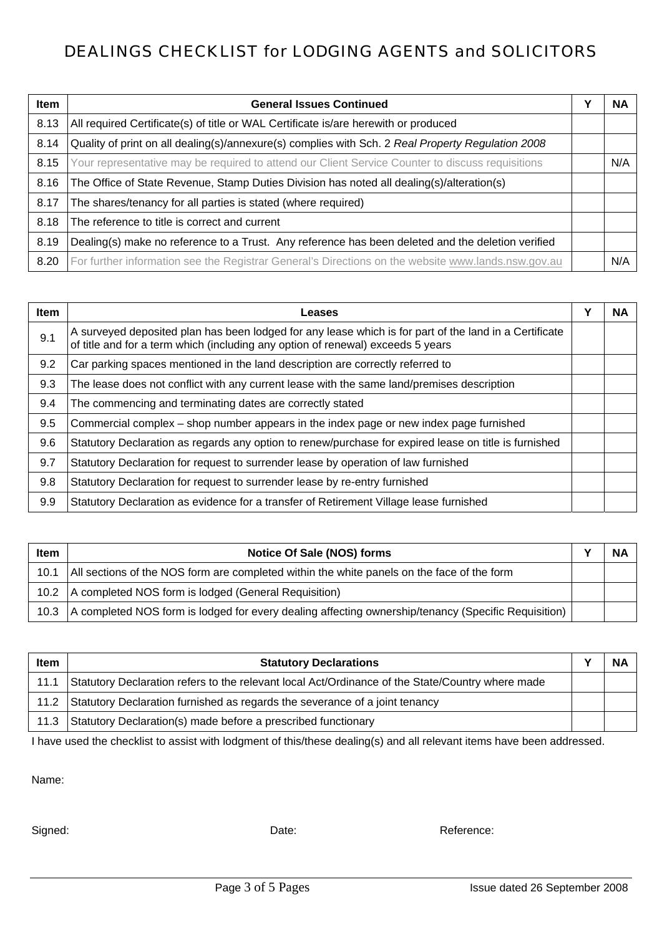| <b>Item</b> | <b>General Issues Continued</b>                                                                    | Υ | <b>NA</b> |
|-------------|----------------------------------------------------------------------------------------------------|---|-----------|
| 8.13        | All required Certificate(s) of title or WAL Certificate is/are herewith or produced                |   |           |
| 8.14        | Quality of print on all dealing(s)/annexure(s) complies with Sch. 2 Real Property Regulation 2008  |   |           |
| 8.15        | Your representative may be required to attend our Client Service Counter to discuss requisitions   |   | N/A       |
| 8.16        | The Office of State Revenue, Stamp Duties Division has noted all dealing(s)/alteration(s)          |   |           |
| 8.17        | The shares/tenancy for all parties is stated (where required)                                      |   |           |
| 8.18        | The reference to title is correct and current                                                      |   |           |
| 8.19        | Dealing(s) make no reference to a Trust. Any reference has been deleted and the deletion verified  |   |           |
| 8.20        | For further information see the Registrar General's Directions on the website www.lands.nsw.gov.au |   | N/A       |

| <b>Item</b> | Leases                                                                                                                                                                                    | Υ | <b>NA</b> |
|-------------|-------------------------------------------------------------------------------------------------------------------------------------------------------------------------------------------|---|-----------|
| 9.1         | A surveyed deposited plan has been lodged for any lease which is for part of the land in a Certificate<br>of title and for a term which (including any option of renewal) exceeds 5 years |   |           |
| 9.2         | Car parking spaces mentioned in the land description are correctly referred to                                                                                                            |   |           |
| 9.3         | The lease does not conflict with any current lease with the same land/premises description                                                                                                |   |           |
| 9.4         | The commencing and terminating dates are correctly stated                                                                                                                                 |   |           |
| 9.5         | Commercial complex – shop number appears in the index page or new index page furnished                                                                                                    |   |           |
| 9.6         | Statutory Declaration as regards any option to renew/purchase for expired lease on title is furnished                                                                                     |   |           |
| 9.7         | Statutory Declaration for request to surrender lease by operation of law furnished                                                                                                        |   |           |
| 9.8         | Statutory Declaration for request to surrender lease by re-entry furnished                                                                                                                |   |           |
| 9.9         | Statutory Declaration as evidence for a transfer of Retirement Village lease furnished                                                                                                    |   |           |

| <b>Item</b>      | Notice Of Sale (NOS) forms                                                                          | N/ |
|------------------|-----------------------------------------------------------------------------------------------------|----|
| 10.1             | All sections of the NOS form are completed within the white panels on the face of the form          |    |
|                  | 10.2   A completed NOS form is lodged (General Requisition)                                         |    |
| $10.3 \text{ l}$ | A completed NOS form is lodged for every dealing affecting ownership/tenancy (Specific Requisition) |    |

| Item | <b>Statutory Declarations</b>                                                                    | NA |
|------|--------------------------------------------------------------------------------------------------|----|
| 11.1 | Statutory Declaration refers to the relevant local Act/Ordinance of the State/Country where made |    |
|      | 11.2 Statutory Declaration furnished as regards the severance of a joint tenancy                 |    |
| 11.3 | Statutory Declaration(s) made before a prescribed functionary                                    |    |

I have used the checklist to assist with lodgment of this/these dealing(s) and all relevant items have been addressed.

Name:

Signed: Signed: Reference: Date: Date: Date: Reference: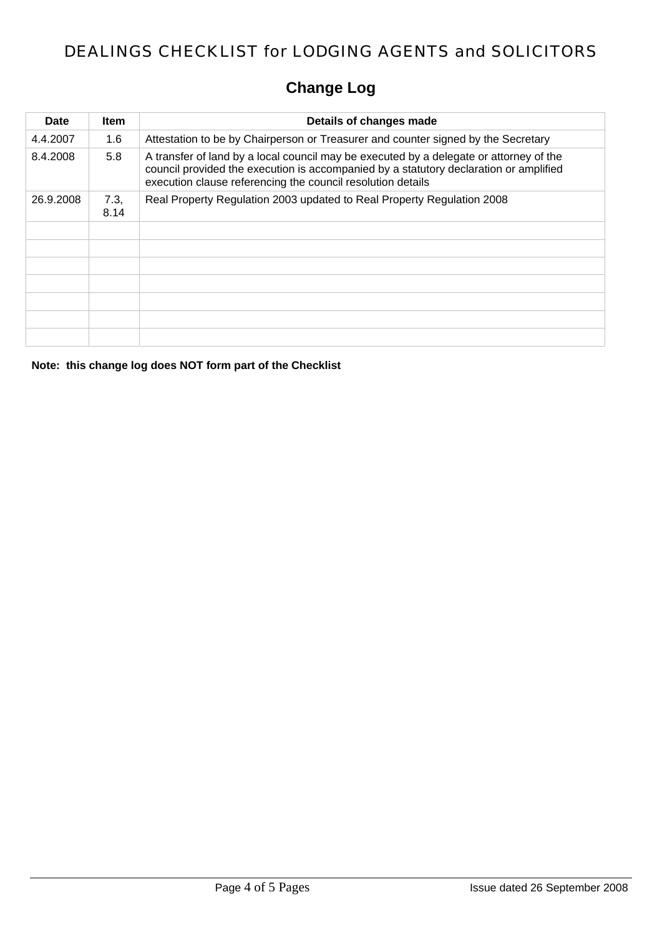# **Change Log**

| Date      | Item         | Details of changes made                                                                                                                                                                                                                        |
|-----------|--------------|------------------------------------------------------------------------------------------------------------------------------------------------------------------------------------------------------------------------------------------------|
| 4.4.2007  | 1.6          | Attestation to be by Chairperson or Treasurer and counter signed by the Secretary                                                                                                                                                              |
| 8.4.2008  | 5.8          | A transfer of land by a local council may be executed by a delegate or attorney of the<br>council provided the execution is accompanied by a statutory declaration or amplified<br>execution clause referencing the council resolution details |
| 26.9.2008 | 7.3,<br>8.14 | Real Property Regulation 2003 updated to Real Property Regulation 2008                                                                                                                                                                         |
|           |              |                                                                                                                                                                                                                                                |
|           |              |                                                                                                                                                                                                                                                |
|           |              |                                                                                                                                                                                                                                                |
|           |              |                                                                                                                                                                                                                                                |
|           |              |                                                                                                                                                                                                                                                |
|           |              |                                                                                                                                                                                                                                                |
|           |              |                                                                                                                                                                                                                                                |

**Note: this change log does NOT form part of the Checklist**